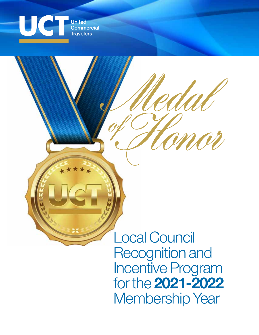

**United Commercial Travelers** 

> Local Council Recognition and Incentive Program for the **2021-2022** Membership Year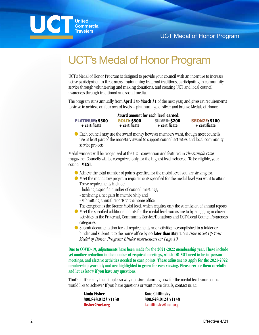

# UCT's Medal of Honor Program

UCT's Medal of Honor Program is designed to provide your council with an incentive to increase active participation in three areas: maintaining fraternal traditions, participating in community service through volunteering and making donations, and creating UCT and local council awareness through traditional and social media.

The program runs annually from **April 1 to March 31** of the next year, and gives set requirements to strive to achieve on four award levels – platinum, gold, silver and bronze Medals of Honor.

|                        | Award amount for each level earned: |                      |                      |
|------------------------|-------------------------------------|----------------------|----------------------|
| <b>PLATINUM: \$500</b> | <b>GOLD: \$300</b>                  | <b>SILVER: \$200</b> | <b>BRONZE: \$100</b> |
| + certificate          | + certificate                       | + certificate        | + certificate        |

 $\bullet$  Each council may use the award money however members want, though most councils use at least part of the monetary award to support council activities and local community service projects.

Medal winners will be recognized at the UCT convention and featured in *The Sample Case* magazine. Councils will be recognized only for the highest level achieved. To be eligible, your council **MUST**:

- Achieve the total number of points specified for the medal level you are striving for.
- Meet the mandatory program requirements specified for the medal level you want to attain. These requirements include:
	- holding a specific number of council meetings,
	- achieving a net gain in membership and
	- submitting annual reports to the home office.
	- The exception is the Bronze Medal level, which requires only the submission of annual reports.
- Meet the specified additional points for the medal level you aspire to by engaging in chosen activities in the Fraternal, Community Service/Donations and UCT/Local Council Awareness categories.
- Submit documentation for all requirements and activities accomplished in a folder or binder and submit it to the home office by **no later than May 1**. *See How to Set Up Your Medal of Honor Program Binder instructions on Page 10.*

**Due to COVID-19, adjustments have been made for the 2021-2022 membership year. These include yet another reduction in the number of required meetings, which DO NOT need to be in-person meetings, and elective activities needed to earn points. These adjustments apply for the 2021-2022 membership year only and are highlighted in green for easy viewing. Please review them carefully and let us know if you have any questions.**

That's it. It's really that simple, so why not start planning now for the medal level your council would like to achieve? If you have questions or want more details, contact us at:

| Linda Fisher       | <b>Kate Chillinsky</b> |
|--------------------|------------------------|
| 800.848.0123 x1130 | 800.848.0123 x1148     |
| lfisher@uct.org    | kchillinsky@uct.org    |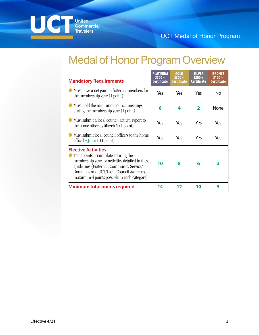

# Medal of Honor Program Overview

| <b>Mandatory Requirements</b>                                                                                                                                                                                                                                    | PLATINUM<br>$$500+$<br><b>Certificate</b> | <b>GOLD</b><br>$$300+$<br><b>Certificate</b> | <b>SILVER</b><br>$$200+$<br>Certificate | <b>BRONZE</b><br>$$100+$<br><b>Certificate</b> |
|------------------------------------------------------------------------------------------------------------------------------------------------------------------------------------------------------------------------------------------------------------------|-------------------------------------------|----------------------------------------------|-----------------------------------------|------------------------------------------------|
| Must have a net gain in fraternal members for<br>the membership year (1 point)                                                                                                                                                                                   | Yes                                       | Yes                                          | Yes                                     | No                                             |
| Must hold the minimum council meetings<br>during the membership year (1 point)                                                                                                                                                                                   | 6                                         | 4                                            | $\mathbf{2}$                            | None                                           |
| Must submit a local council activity report to<br>the home office by <b>March 1</b> $(1 \text{ point})$                                                                                                                                                          | Yes                                       | Yes                                          | Yes                                     | Yes                                            |
| Must submit local council officers to the home<br>office by <b>June 1</b> $(1 \text{ point})$                                                                                                                                                                    | Yes                                       | Yes                                          | Yes                                     | Yes                                            |
| <b>Elective Activities</b><br>Total points accumulated during the<br>membership year for activities detailed in these<br>guidelines (Fraternal, Community Service/<br>Donations and UCT/Local Council Awareness -<br>maximum 4 points possible in each category) | 10                                        | 8                                            | 6                                       | 3                                              |
| Minimum total points required                                                                                                                                                                                                                                    | 14                                        | 12                                           | 10                                      | 5                                              |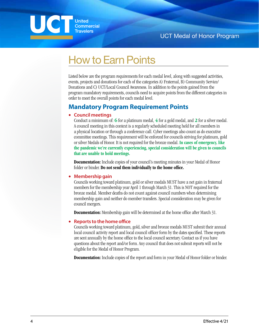## UC **United Commercial Travelers**

# How to Earn Points

Listed below are the program requirements for each medal level, along with suggested activities, events, projects and donations for each of the categories A) Fraternal, B) Community Service/ Donations and C) UCT/Local Council Awareness. In addition to the points gained from the program mandatory requirements, councils need to acquire points from the different categories in order to meet the overall points for each medal level.

# **Mandatory Program Requirement Points**

## **• Council meetings**

Conduct a minimum of: **6** for a platinum medal, **4** for a gold medal, and **2** for a silver medal. A council meeting in this context is a regularly scheduled meeting held for all members in a physical location or through a conference call. Cyber meetings also count as do executive committee meetings. This requirement will be enforced for councils striving for platinum, gold or silver Medals of Honor. It is not required for the bronze medal. **In cases of emergency, like the pandemic we're currently experiencing, special consideration will be given to councils that are unable to hold meetings.**

**Documentation:** Include copies of your council's meeting minutes in your Medal of Honor folder or binder. **Do not send them individually to the home office.**

### **• Membership gain**

Councils working toward platinum, gold or silver medals MUST have a net gain in fraternal members for the membership year April 1 through March 31. This is NOT required for the bronze medal. Member deaths do not count against council numbers when determining membership gain and neither do member transfers. Special consideration may be given for council mergers.

**Documentation:** Membership gain will be determined at the home office after March 31.

## **• Reports to the home office**

Councils working toward platinum, gold, silver and bronze medals MUST submit their annual local council activity report and local council officer form by the dates specified. These reports are sent annually by the home office to the local council secretary. Contact us if you have questions about the report and/or form. Any council that does not submit reports will not be eligible for the Medal of Honor Program.

**Documentation:** Include copies of the report and form in your Medal of Honor folder or binder.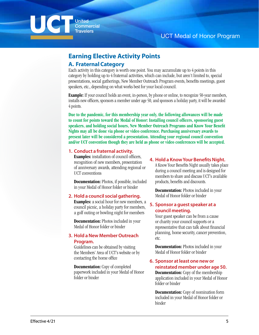

# **Earning Elective Activity Points**

## **A. Fraternal Category**

Each activity in this category is worth one point. You may accumulate up to 4 points in this category by holding up to 4 fraternal activities, which can include, but aren't limited to, special presentations, social gatherings, New Member Outreach Program events, benefits meetings, guest speakers, etc., depending on what works best for your local council.

**Example:** If your council holds an event, in-person, by phone or online, to recognize 50-year members, installs new officers, sponsors a member under age 50, and sponsors a holiday party, it will be awarded 4 points.

**Due to the pandemic, for this membership year only, the following allowances will be made to count for points toward the Medal of Honor: Installing council officers, sponsoring guest speakers, and holding social hours, New Member Outreach Programs and Know Your Benefit Nights may all be done via phone or video conference. Purchasing anniversary awards to present later will be considered a presentation. Attending your regional council convention and/or UCT convention though they are held as phone or video conferences will be accepted.**

### **1. Conduct a fraternal activity.**

**Examples:** installation of council officers, recognition of new members, presentation of anniversary awards, attending regional or UCT conventions

**Documentation:** Photos, if possible, included in your Medal of Honor folder or binder

### **2. Hold a council social gathering.**

**Examples:** a social hour for new members, a council picnic, a holiday party for members, a golf outing or bowling night for members

**Documentation:** Photos included in your Medal of Honor folder or binder

## **3. Hold a New Member Outreach Program.**

Guidelines can be obtained by visiting the Members' Area of UCT's website or by contacting the home office

**Documentation:** Copy of completed paperwork included in your Medal of Honor folder or binder

#### **4. Hold a Know Your Benefits Night.**

A Know Your Benefits Night usually takes place during a council meeting and is designed for members to share and discuss UCT's available products, benefits and discounts.

**Documentation:** Photos included in your Medal of Honor folder or binder

## **5. Sponsor a guest speaker at a council meeting.**

Your guest speaker can be from a cause or charity your council supports or a representative that can talk about financial planning, home security, cancer prevention, etc.

**Documentation:** Photos included in your Medal of Honor folder or binder

### **6. Sponsor at least one new or reinstated member under age 50.**

**Documentation:** Copy of the membership application included in your Medal of Honor folder or binder

**Documentation:** Copy of nomination form included in your Medal of Honor folder or binder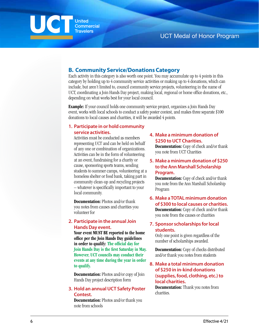

## **B. Community Service/Donations Category**

Each activity in this category is also worth one point. You may accumulate up to 4 points in this category by holding up to 4 community service activities or making up to 4 donations, which can include, but aren't limited to, council community service projects, volunteering in the name of UCT, coordinating a Join Hands Day project, making local, regional or home office donations, etc., depending on what works best for your local council.

**Example:** If your council holds one community service project, organizes a Join Hands Day event, works with local schools to conduct a safety poster contest, and makes three separate \$100 donations to local causes and charities, it will be awarded 4 points.

### **1. Participate in or hold community service activities.**

Activities must be conducted as members representing UCT and can be held on behalf of any one or combination of organizations. Activities can be in the form of volunteering at an event, fundraising for a charity or cause, sponsoring sports teams, sending students to summer camps, volunteering at a homeless shelter or food bank, taking part in community clean-up and recycling projects – whatever is specifically important to your local community.

**Documentation:** Photos and/or thank you notes from causes and charities you volunteer for

## **2. Participate in the annual Join Hands Day event.**

**Your event MUST BE reported to the home office per the Join Hands Day guidelines in order to qualify: The official day for Join Hands Day is the first Saturday in May. However, UCT councils may conduct their events at any time during the year in order to qualify.**

**Documentation:** Photos and/or copy of Join Hands Day project description form

## **3. Hold an annual UCT Safety Poster Contest.**

**Documentation:** Photos and/or thank you note from schools

## **4. Make a minimum donation of \$250 to UCT Charities.**

**Documentation:** Copy of check and/or thank you note from UCT Charities

### **5. Make a minimum donation of \$250 to the Ann Marshall Scholarship Program.**

**Documentation:** Copy of check and/or thank you note from the Ann Marshall Scholarship Program

**6. Make a TOTAL minimum donation of \$300 to local causes or charities. Documentation:** Copy of check and/or thank you note from the causes or charities

## **7. Sponsor scholarships for local students.**

Only one point is given regardless of the number of scholarships awarded.

**Documentation:** Copy of checks distributed and/or thank you notes from students

## **8. Make a total minimum donation of \$250 in in-kind donations (supplies, food, clothing, etc.) to local charities.**

**Documentation:** Thank you notes from charities.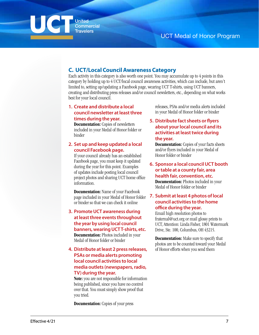

## **C. UCT/Local Council Awareness Category**

Each activity in this category is also worth one point. You may accumulate up to 4 points in this category by holding up to 4 UCT/local council awareness activities, which can include, but aren't limited to, setting up/updating a Facebook page, wearing UCT T-shirts, using UCT banners, creating and distributing press releases and/or council newsletters, etc., depending on what works best for your local council.

### **1. Create and distribute a local council newsletter at least three times during the year.**

**Documentation:** Copies of newsletters included in your Medal of Honor folder or binder

## **2. Set up and keep updated a local council Facebook page.**

If your council already has an established Facebook page, you must keep it updated during the year for this point. Examples of updates include posting local council project photos and sharing UCT home office information.

**Documentation:** Name of your Facebook page included in your Medal of Honor folder or binder so that we can check it online

- **3. Promote UCT awareness during at least three events throughout the year by using local council banners, wearing UCT T-shirts, etc. Documentation:** Photos included in your Medal of Honor folder or binder
- **4. Distribute at least 2 press releases, PSAs or media alerts promoting local council activities to local media outlets (newspapers, radio, TV) during the year.**

**Note:** you are not responsible for information being published, since you have no control over that. You must simply show proof that you tried.

**Documentation:** Copies of your press

releases, PSAs and/or media alerts included in your Medal of Honor folder or binder

## **5. Distribute fact sheets or flyers about your local council and its activities at least twice during the year.**

**Documentation:** Copies of your facts sheets and/or flyers included in your Medal of Honor folder or binder

**6. Sponsor a local council UCT booth or table at a county fair, area health fair, convention, etc. Documentation:** Photos included in your

Medal of Honor folder or binder

## **7. Submit at least 4 photos of local council activities to the home office during the year.**

Email high resolution photos to fraternal@uct.org or mail glossy prints to UCT, Attention: Linda Fisher, 1801 Watermark Drive, Ste. 100, Columbus, OH 43215.

**Documentation:** Make sure to specify that photos are to be counted toward your Medal of Honor efforts when you send them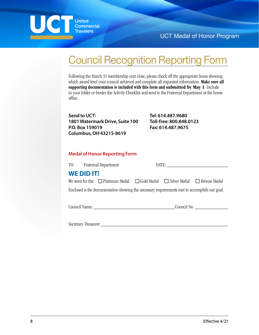UC **United** Commercial **Travelers** 

UCT Medal of Honor Program

# Council Recognition Reporting Form

Following the March 31 membership year close, please check off the appropriate boxes showing which award level your council achieved and complete all requested information. **Make sure all supporting documentation is included with this form and submitted by May 1**. Include in your folder or binder the Activity Checklist and send to the Fraternal Department at the home office.

**Send to UCT: 1801 Watermark Drive, Suite 100 P.O. Box 159019 Columbus, OH 43215-8619**

**Tel: 614.487.9680 Toll-free: 800.848.0123 Fax: 614.487.9675**

## **Medal of Honor Reporting Form**

|                                                                                              | TO: Fraternal Department |                                                                                                  |  | DATE: |  |  |
|----------------------------------------------------------------------------------------------|--------------------------|--------------------------------------------------------------------------------------------------|--|-------|--|--|
|                                                                                              | <b>WE DID IT!</b>        |                                                                                                  |  |       |  |  |
|                                                                                              |                          | We went for the: $\Box$ Platinum Medal $\Box$ Gold Medal $\Box$ Silver Medal $\Box$ Bronze Medal |  |       |  |  |
| Enclosed is the documentation showing the necessary requirements met to accomplish our goal. |                          |                                                                                                  |  |       |  |  |

Council Name: \_\_\_\_\_\_\_\_\_\_\_\_\_\_\_\_\_\_\_\_\_\_\_\_\_\_\_\_\_\_\_\_Council No. \_\_\_\_\_\_\_\_\_\_\_\_\_

Secretary-Treasurer \_\_\_\_\_\_\_\_\_\_\_\_\_\_\_\_\_\_\_\_\_\_\_\_\_\_\_\_\_\_\_\_\_\_\_\_\_\_\_\_\_\_\_\_\_\_\_\_\_\_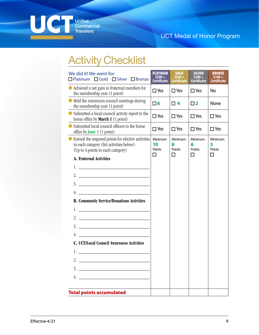

# **Activity Checklist**

| We did it! We went for:<br>□ Platinum □ Gold □ Silver □ Bronze                                                                         | <b>PLATINUM</b><br>S500+<br><b>Certificate</b> | <b>GOLD</b><br>$$300 +$<br><b>Certificate</b> | <b>SILVER</b><br>$$200+$<br><b>Certificate</b> | <b>BRONZE</b><br><b>Certificate</b> |
|----------------------------------------------------------------------------------------------------------------------------------------|------------------------------------------------|-----------------------------------------------|------------------------------------------------|-------------------------------------|
| • Achieved a net gain in fraternal members for<br>the membership year (1 point)                                                        | $\Box$ Yes                                     | $\square$ Yes                                 | $\square$ Yes                                  | <b>No</b>                           |
| Held the minimum council meetings during<br>the membership year (1 point)                                                              | $\square$ 6                                    | $\Box$ 4                                      | $\square$ 2                                    | <b>None</b>                         |
| • Submitted a local council activity report to the<br>home office by <b>March 1</b> (1 point)                                          | $\square$ Yes                                  | $\square$ Yes                                 | $\square$ Yes                                  | $\square$ Yes                       |
| Submitted local council officers to the home<br>office by <b>June 1</b> (1 point)                                                      | $\square$ Yes                                  | $\square$ Yes                                 | $\square$ Yes                                  | $\square$ Yes                       |
| • Earned the required points for elective activities<br>in each category (list activities below):<br>(Up to 4 points in each category) | Minimum<br>10<br>Points<br>П                   | Minimum<br>8<br>Points<br>П                   | Minimum<br>6<br>Points<br>П                    | Minimum<br>3<br>Points<br>П         |
| A. Fraternal Activities                                                                                                                |                                                |                                               |                                                |                                     |
|                                                                                                                                        |                                                |                                               |                                                |                                     |
|                                                                                                                                        |                                                |                                               |                                                |                                     |
|                                                                                                                                        |                                                |                                               |                                                |                                     |
| 4.                                                                                                                                     |                                                |                                               |                                                |                                     |
| <b>B. Community Service/Donations Activities</b>                                                                                       |                                                |                                               |                                                |                                     |
|                                                                                                                                        |                                                |                                               |                                                |                                     |
|                                                                                                                                        |                                                |                                               |                                                |                                     |
|                                                                                                                                        |                                                |                                               |                                                |                                     |
|                                                                                                                                        |                                                |                                               |                                                |                                     |
| <b>C. UCT/Local Council Awareness Activities</b>                                                                                       |                                                |                                               |                                                |                                     |
| 1.<br><u> 1980 - Johann Stein, mars an t-Amerikaansk kommunister (</u>                                                                 |                                                |                                               |                                                |                                     |
| 2.                                                                                                                                     |                                                |                                               |                                                |                                     |
| 3.                                                                                                                                     |                                                |                                               |                                                |                                     |
| 4.                                                                                                                                     |                                                |                                               |                                                |                                     |
| <b>Total points accumulated</b>                                                                                                        |                                                |                                               |                                                |                                     |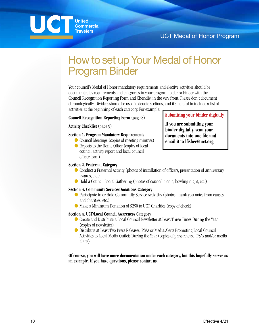

# How to set up Your Medal of Honor Program Binder

Your council's Medal of Honor mandatory requirements and elective activities should be documented by requirements and categories in your program folder or binder with the Council Recognition Reporting Form and Checklist in the very front. Please don't document chronologically. Dividers should be used to denote sections, and it's helpful to include a list of activities at the beginning of each category. For example:

#### **Council Recognition Reporting Form** (page 8)

**Activity Checklist** (page 9)

### **Section 1. Program Mandatory Requirements**

- Council Meetings (copies of meeting minutes)
- Reports to the Home Office (copies of local council activity report and local council officer form)

### **Section 2. Fraternal Category**

- Conduct a Fraternal Activity (photos of installation of officers, presentation of anniversary awards, etc.)
- Hold a Council Social Gathering (photos of council picnic, bowling night, etc.)

#### **Section 3. Community Service/Donations Category**

- Participate in or Hold Community Service Activities (photos, thank you notes from causes and charities, etc.)
- Make a Minimum Donation of \$250 to UCT Charities (copy of check)

#### **Section 4. UCT/Local Council Awareness Category**

- Create and Distribute a Local Council Newsletter at Least Three Times During the Year (copies of newsletter)
- Distribute at Least Two Press Releases, PSAs or Media Alerts Promoting Local Council Activities to Local Media Outlets During the Year (copies of press release, PSAs and/or media alerts)

**Of course, you will have more documentation under each category, but this hopefully serves as an example. If you have questions, please contact us.**

**Submitting your binder digitally.**

**If you are submitting your binder digitally, scan your documents into one file and email it to lfisher@uct.org.**